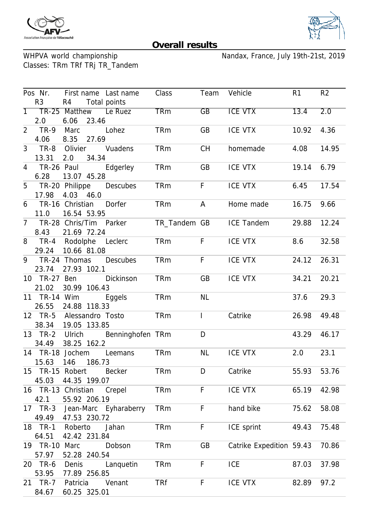



## **Overall results**

WHPVA world championship<br>Classes: TRm TRf TRj TR\_Tandem

Nandax, France, July 19th-21st, 2019

|                | Pos Nr.            |                  |        | First name Last name    | Class        | Team         | Vehicle                  | R <sub>1</sub> | R <sub>2</sub> |
|----------------|--------------------|------------------|--------|-------------------------|--------------|--------------|--------------------------|----------------|----------------|
|                | R <sub>3</sub>     | R4               |        | Total points            |              |              |                          |                |                |
|                |                    |                  |        | 1 TR-25 Matthew Le Ruez | <b>TRm</b>   | GB           | <b>ICE VTX</b>           | 13.4           | 2.0            |
|                | 2.0                | 6.06             | 23.46  |                         |              |              |                          |                |                |
| $\overline{2}$ | $TR-9$             | Marc             |        | Lohez                   | <b>TRm</b>   | GB           | ICE VTX                  | 10.92          | 4.36           |
|                | 4.06               | 8.35             | 27.69  |                         |              |              |                          |                |                |
| 3              | TR-8               |                  |        | Olivier Vuadens         | <b>TRm</b>   | <b>CH</b>    | homemade                 | 4.08           | 14.95          |
|                | 13.31              | 2.0              | 34.34  |                         |              |              |                          |                |                |
| 4              | TR-26 Paul         |                  |        | Edgerley                | <b>TRm</b>   | GB           | ICE VTX                  | 19.14          | 6.79           |
|                | 6.28               | 13.07 45.28      |        |                         |              |              |                          |                |                |
| 5              |                    |                  |        | TR-20 Philippe Descubes | <b>TRm</b>   | F            | ICE VTX                  | 6.45           | 17.54          |
|                | 17.98              | 4.03             | 46.0   |                         |              |              |                          |                |                |
| 6              | TR-16 Christian    |                  |        | Dorfer                  | <b>TRm</b>   | A            | Home made                | 16.75          | 9.66           |
|                | 11.0               | 16.54 53.95      |        |                         |              |              |                          |                |                |
|                | 7 TR-28 Chris/Tim  |                  |        | Parker                  | TR_Tandem GB |              | <b>ICE Tandem</b>        | 29.88          | 12.24          |
|                | 8.43               | 21.69 72.24      |        |                         |              |              |                          |                |                |
|                | 8 TR-4 Rodolphe    |                  |        | Leclerc                 | <b>TRm</b>   | F            | <b>ICE VTX</b>           | 8.6            | 32.58          |
|                | 29.24              | 10.66 81.08      |        |                         |              |              |                          |                |                |
|                | 9 TR-24 Thomas     |                  |        | <b>Descubes</b>         | <b>TRm</b>   | F            | <b>ICE VTX</b>           | 24.12          | 26.31          |
|                | 23.74              | 27.93 102.1      |        |                         |              |              |                          |                |                |
|                | 10 TR-27           | Ben              |        | Dickinson               | TRm          | GB           | ICE VTX                  | 34.21          | 20.21          |
|                | 21.02              | 30.99 106.43     |        |                         |              |              |                          |                |                |
|                | 11 TR-14 Wim       |                  |        | Eggels                  | <b>TRm</b>   | <b>NL</b>    |                          | 37.6           | 29.3           |
|                | 26.55              | 24.88 118.33     |        |                         |              |              |                          |                |                |
|                | 12 TR-5            | Alessandro Tosto |        |                         | <b>TRm</b>   | $\mathbf{I}$ | Catrike                  | 26.98          | 49.48          |
|                | 38.34              | 19.05 133.85     |        |                         |              |              |                          |                |                |
|                | 13 TR-2            | Ulrich           |        | Benninghofen TRm        |              | D            |                          | 43.29          | 46.17          |
|                | 34.49              | 38.25 162.2      |        |                         |              |              |                          |                |                |
|                | 14 TR-18 Jochem    |                  |        | Leemans                 | <b>TRm</b>   | <b>NL</b>    | <b>ICE VTX</b>           | 2.0            | 23.1           |
|                | 15.63              | 146              | 186.73 |                         |              |              |                          |                |                |
| 15             | TR-15 Robert       |                  |        | <b>Becker</b>           | <b>TRm</b>   | D            | Catrike                  | 55.93          | 53.76          |
|                | 45.03              | 44.35 199.07     |        |                         |              |              |                          |                |                |
|                | 16 TR-13 Christian |                  |        | Crepel                  | <b>TRm</b>   | F            | <b>ICE VTX</b>           | 65.19          | 42.98          |
|                | 42.1               | 55.92 206.19     |        |                         |              |              |                          |                |                |
|                | 17 TR-3            |                  |        | Jean-Marc Eyharaberry   | <b>TRm</b>   | F            | hand bike                | 75.62          | 58.08          |
|                | 49.49              | 47.53 230.72     |        |                         |              |              |                          |                |                |
|                | 18 TR-1            | Roberto          |        | Jahan                   | <b>TRm</b>   | F            | ICE sprint               | 49.43          | 75.48          |
|                | 64.51              | 42.42 231.84     |        |                         |              |              |                          |                |                |
|                | 19 TR-10 Marc      |                  |        | Dobson                  | <b>TRm</b>   | GB           | Catrike Expedition 59.43 |                | 70.86          |
|                | 57.97              | 52.28 240.54     |        |                         |              |              |                          |                |                |
|                | 20 TR-6            | Denis            |        | Languetin               | <b>TRm</b>   | F            | <b>ICE</b>               | 87.03          | 37.98          |
|                | 53.95              | 77.89 256.85     |        |                         |              |              |                          |                |                |
|                | 21 TR-7            | Patricia         |        | Venant                  | <b>TRf</b>   | F            | ICE VTX                  | 82.89          | 97.2           |
|                | 84.67              | 60.25 325.01     |        |                         |              |              |                          |                |                |